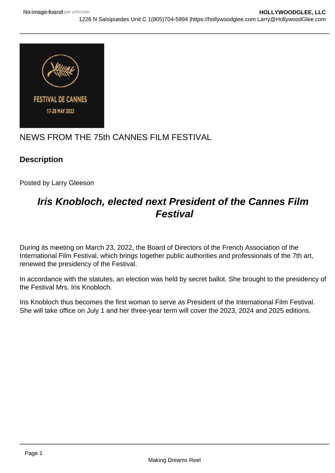

## NEWS FROM THE 75th CANNES FILM FESTIVAL

## **Description**

Posted by Larry Gleeson

# **Iris Knobloch, elected next President of the Cannes Film Festival**

During its meeting on March 23, 2022, the Board of Directors of the French Association of the International Film Festival, which brings together public authorities and professionals of the 7th art, renewed the presidency of the Festival.

In accordance with the statutes, an election was held by secret ballot. She brought to the presidency of the Festival Mrs. Iris Knobloch.

Iris Knobloch thus becomes the first woman to serve as President of the International Film Festival. She will take office on July 1 and her three-year term will cover the 2023, 2024 and 2025 editions.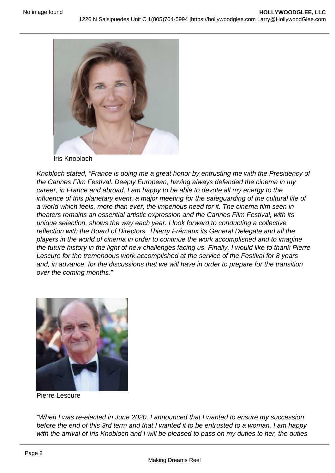#### Iris Knobloch

Knobloch stated, "France is doing me a great honor by entrusting me with the Presidency of the Cannes Film Festival. Deeply European, having always defended the cinema in my career, in France and abroad, I am happy to be able to devote all my energy to the influence of this planetary event, a major meeting for the safeguarding of the cultural life of a world which feels, more than ever, the imperious need for it. The cinema film seen in theaters remains an essential artistic expression and the Cannes Film Festival, with its unique selection, shows the way each year. I look forward to conducting a collective reflection with the Board of Directors, Thierry Frémaux its General Delegate and all the players in the world of cinema in order to continue the work accomplished and to imagine the future history in the light of new challenges facing us. Finally, I would like to thank Pierre Lescure for the tremendous work accomplished at the service of the Festival for 8 years and, in advance, for the discussions that we will have in order to prepare for the transition over the coming months."

Pierre Lescure

"When I was re-elected in June 2020, I announced that I wanted to ensure my succession before the end of this 3rd term and that I wanted it to be entrusted to a woman. I am happy with the arrival of Iris Knobloch and I will be pleased to pass on my duties to her, the duties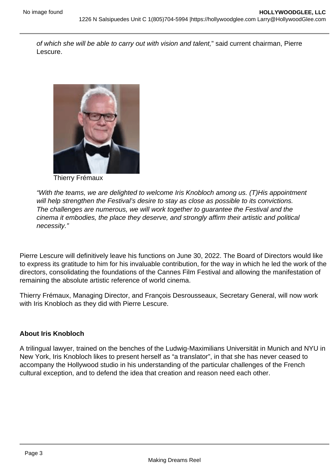of which she will be able to carry out with vision and talent," said current chairman, Pierre Lescure.

#### Thierry Frémaux

"With the teams, we are delighted to welcome Iris Knobloch among us. (T)His appointment will help strengthen the Festival's desire to stay as close as possible to its convictions. The challenges are numerous, we will work together to guarantee the Festival and the cinema it embodies, the place they deserve, and strongly affirm their artistic and political necessity."

Pierre Lescure will definitively leave his functions on June 30, 2022. The Board of Directors would like to express its gratitude to him for his invaluable contribution, for the way in which he led the work of the directors, consolidating the foundations of the Cannes Film Festival and allowing the manifestation of remaining the absolute artistic reference of world cinema.

Thierry Frémaux, Managing Director, and François Desrousseaux, Secretary General, will now work with Iris Knobloch as they did with Pierre Lescure.

#### About Iris Knobloch

A trilingual lawyer, trained on the benches of the Ludwig-Maximilians Universität in Munich and NYU in New York, Iris Knobloch likes to present herself as "a translator", in that she has never ceased to accompany the Hollywood studio in his understanding of the particular challenges of the French cultural exception, and to defend the idea that creation and reason need each other.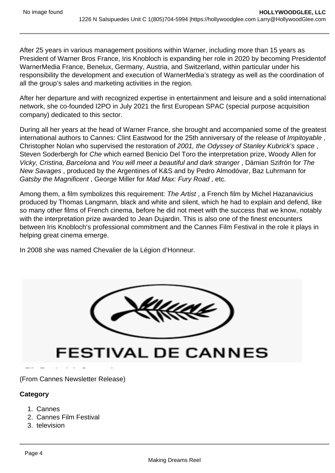After 25 years in various management positions within Warner, including more than 15 years as President of Warner Bros France, Iris Knobloch is expanding her role in 2020 by becoming Presidentof WarnerMedia France, Benelux, Germany, Austria, and Switzerland, within particular under his responsibility the development and execution of WarnerMedia's strategy as well as the coordination of all the group's sales and marketing activities in the region.

After her departure and with recognized expertise in entertainment and leisure and a solid international network, she co-founded I2PO in July 2021 the first European SPAC (special purpose acquisition company) dedicated to this sector.

During all her years at the head of Warner France, she brought and accompanied some of the greatest international authors to Cannes: Clint Eastwood for the 25th anniversary of the release of Impitoyable, Christopher Nolan who supervised the restoration of 2001, the Odyssey of Stanley Kubrick's space , Steven Soderbergh for Che which earned Benicio Del Toro the interpretation prize, Woody Allen for Vicky, Cristina, Barcelona and You will meet a beautiful and dark stranger , Dámian Szifrón for The New Savages , produced by the Argentines of K&S and by Pedro Almodóvar, Baz Luhrmann for Gatsby the Magnificent , George Miller for Mad Max: Fury Road , etc.

Among them, a film symbolizes this requirement: The Artist , a French film by Michel Hazanavicius produced by Thomas Langmann, black and white and silent, which he had to explain and defend, like so many other films of French cinema, before he did not meet with the success that we know, notably with the interpretation prize awarded to Jean Dujardin. This is also one of the finest encounters between Iris Knobloch's professional commitment and the Cannes Film Festival in the role it plays in helping great cinema emerge.

In 2008 she was named Chevalier de la Légion d'Honneur.

(From Cannes Newsletter Release)

**Category** 

- 1. Cannes
- 2. Cannes Film Festival
- 3. television